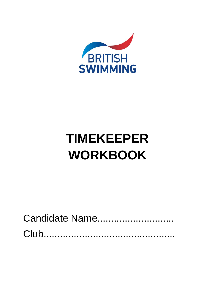

# **TIMEKEEPER WORKBOOK**

| Candidate Name |  |
|----------------|--|
|                |  |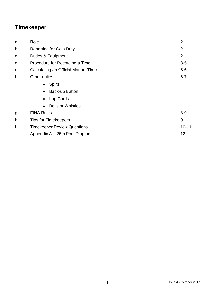# **Timekeeper**

| a. |                             |           |
|----|-----------------------------|-----------|
| b. |                             |           |
| C. |                             | 2         |
| d. |                             | $3 - 5$   |
| е. |                             | $5-6$     |
| f. |                             | $6 - 7$   |
|    | <b>Splits</b><br>$\bullet$  |           |
|    | Back-up Button<br>$\bullet$ |           |
|    | Lap Cards                   |           |
|    | <b>Bells or Whistles</b>    |           |
| g. |                             | -8-9      |
| h. |                             | 9         |
| Ť. |                             | $10 - 11$ |
|    |                             | 12        |
|    |                             |           |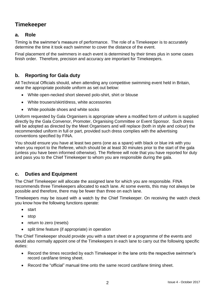# **Timekeeper**

# **a. Role**

Timing is the swimmer's measure of performance. The role of a Timekeeper is to accurately determine the time it took each swimmer to cover the distance of the event.

Final placement of the swimmers in each event is determined by their times plus in some cases finish order. Therefore, precision and accuracy are important for Timekeepers.

# **b. Reporting for Gala duty**

All Technical Officials should, when attending any competitive swimming event held in Britain, wear the appropriate poolside uniform as set out below:

- White open-necked short sleeved polo-shirt, shirt or blouse
- White trousers/skirt/dress, white accessories
- White poolside shoes and white socks

Uniform requested by Gala Organisers is appropriate where a modified form of uniform is supplied directly by the Gala Convenor, Promoter, Organising Committee or Event Sponsor. Such dress will be adopted as directed by the Meet Organisers and will replace (both in style and colour) the recommended uniform in full or part, provided such dress complies with the advertising conventions specified by FINA.

You should ensure you have at least two pens (one as a spare) with black or blue ink with you when you report to the Referee, which should be at least 30 minutes prior to the start of the gala (unless you have been informed otherwise). The Referee will note that you have reported for duty and pass you to the Chief Timekeeper to whom you are responsible during the gala.

# **c. Duties and Equipment**

The Chief Timekeeper will allocate the assigned lane for which you are responsible. FINA recommends three Timekeepers allocated to each lane. At some events, this may not always be possible and therefore, there may be fewer than three on each lane.

Timekeepers may be issued with a watch by the Chief Timekeeper. On receiving the watch check you know how the following functions operate:

- start
- stop
- return to zero (resets)
- split time feature (if appropriate) in operation

The Chief Timekeeper should provide you with a start sheet or a programme of the events and would also normally appoint one of the Timekeepers in each lane to carry out the following specific duties:

- Record the times recorded by each Timekeeper in the lane onto the respective swimmer's record card/lane timing sheet.
- Record the "official" manual time onto the same record card/lane timing sheet.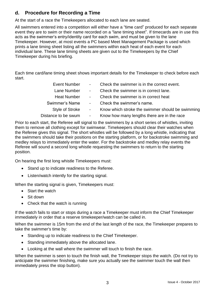# **d. Procedure for Recording a Time**

At the start of a race the Timekeepers allocated to each lane are seated.

All swimmers entered into a competition will either have a "time card" produced for each separate event they are to swim or their name recorded on a "lane timing sheet". If timecards are in use this acts as the swimmer's entry/identity card for each swim, and must be given to the lane Timekeeper. However, at most events a PC based Meet Management Package is used which prints a lane timing sheet listing all the swimmers within each heat of each event for each individual lane. These lane timing sheets are given out to the Timekeepers by the Chief Timekeeper during his briefing.

Each time card/lane timing sheet shows important details for the Timekeeper to check before each start.

| <b>Event Number</b>    | $\sim 100$ km s $^{-1}$ | Check the swimmer is in the correct event.       |
|------------------------|-------------------------|--------------------------------------------------|
| Lane Number            | $\sim 100$              | Check the swimmer is in correct lane.            |
| <b>Heat Number</b>     | $\sim 100$              | Check the swimmer is in correct heat             |
| Swimmer's Name         | $\sim$                  | Check the swimmer's name.                        |
| <b>Style of Stroke</b> | $\sim$                  | Know which stroke the swimmer should be swimming |
| Distance to be swum    | $\sim$                  | Know how many lengths there are in the race      |

Prior to each start, the Referee will signal to the swimmers by a short series of whistles, inviting them to remove all clothing except for swimwear. Timekeepers should clear their watches when the Referee gives this signal. The short whistles will be followed by a long whistle, indicating that the swimmers should take their positions on the starting platform, or for backstroke swimming and medley relays to immediately enter the water. For the backstroke and medley relay events the Referee will sound a second long whistle requesting the swimmers to return to the starting position.

On hearing the first long whistle Timekeepers must:

- Stand up to indicate readiness to the Referee.
- Listen/watch intently for the starting signal.

When the starting signal is given, Timekeepers must:

- Start the watch
- Sit down
- Check that the watch is running

If the watch fails to start or stops during a race a Timekeeper must inform the Chief Timekeeper immediately in order that a reserve timekeeper/watch can be called in.

When the swimmer is 15m from the end of the last length of the race, the Timekeeper prepares to take the swimmer's time by:

- Standing up to indicate readiness to the Chief Timekeeper.
- Standing immediately above the allocated lane.
- Looking at the wall where the swimmer will touch to finish the race.

When the swimmer is seen to touch the finish wall, the Timekeeper stops the watch. (Do not try to anticipate the swimmer finishing, make sure you actually see the swimmer touch the wall then immediately press the stop button).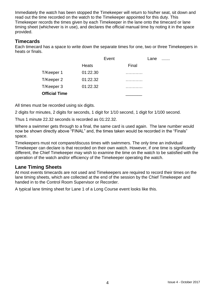Immediately the watch has been stopped the Timekeeper will return to his/her seat, sit down and read out the time recorded on the watch to the Timekeeper appointed for this duty. This Timekeeper records the times given by each Timekeeper in the lane onto the timecard or lane timing sheet (whichever is in use), and declares the official manual time by noting it in the space provided.

# **Timecards**

Each timecard has a space to write down the separate times for one, two or three Timekeepers in heats or finals.

|              | Event |       | Lane |  |
|--------------|-------|-------|------|--|
| <b>Heats</b> |       | Final |      |  |
| 01:22.30     |       |       |      |  |
| 01:22.32     |       |       |      |  |
| 01:22.32     |       |       |      |  |
|              |       |       |      |  |
|              |       |       |      |  |

All times must be recorded using six digits.

2 digits for minutes, 2 digits for seconds, 1 digit for 1/10 second, 1 digit for 1/100 second.

Thus 1 minute 22.32 seconds is recorded as 01:22.32.

Where a swimmer gets through to a final, the same card is used again. The lane number would now be shown directly above "FINAL" and, the times taken would be recorded in the "Finals" space.

Timekeepers must not compare/discuss times with swimmers. The only time an individual Timekeeper can declare is that recorded on their own watch. However, if one time is significantly different, the Chief Timekeeper may wish to examine the time on the watch to be satisfied with the operation of the watch and/or efficiency of the Timekeeper operating the watch.

## **Lane Timing Sheets**

At most events timecards are not used and Timekeepers are required to record their times on the lane timing sheets, which are collected at the end of the session by the Chief Timekeeper and handed in to the Control Room Supervisor or Recorder.

A typical lane timing sheet for Lane 1 of a Long Course event looks like this.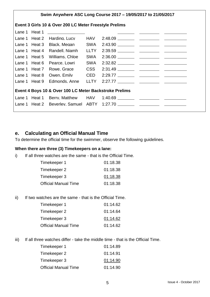|                                                        | Swim Anywhere ASC Long Course 2017 - 19/05/2017 to 21/05/2017 |                                          |  |  |  |  |  |  |
|--------------------------------------------------------|---------------------------------------------------------------|------------------------------------------|--|--|--|--|--|--|
| Event 3 Girls 10 & Over 200 LC Meter Freestyle Prelims |                                                               |                                          |  |  |  |  |  |  |
| Lane 1 Heat 1                                          |                                                               | <u> 1989 - Andrea State Barbara, pre</u> |  |  |  |  |  |  |
|                                                        | Lane 1 Heat 2                                                 |                                          |  |  |  |  |  |  |
|                                                        |                                                               |                                          |  |  |  |  |  |  |
|                                                        |                                                               |                                          |  |  |  |  |  |  |
|                                                        |                                                               | Lane 1 Heat 5 Williams, Chloe            |  |  |  |  |  |  |
|                                                        |                                                               | Lane 1 Heat 6 Pearce, Lowri              |  |  |  |  |  |  |
|                                                        |                                                               |                                          |  |  |  |  |  |  |
|                                                        |                                                               |                                          |  |  |  |  |  |  |
|                                                        |                                                               | Lane 1 Heat 9 Edmonds, Anne LLTY         |  |  |  |  |  |  |
| Event 4 Boys 10 & Over 100 LC Meter Backstroke Prelims |                                                               |                                          |  |  |  |  |  |  |
|                                                        |                                                               |                                          |  |  |  |  |  |  |
|                                                        |                                                               |                                          |  |  |  |  |  |  |

## **e. Calculating an Official Manual Time**

To determine the official time for the swimmer, observe the following guidelines.

#### **When there are three (3) Timekeepers on a lane:**

i) If all three watches are the same - that is the Official Time.

| Timekeeper 1                | 01:18.38 |
|-----------------------------|----------|
| Timekeeper 2                | 01:18.38 |
| Timekeeper 3                | 01:18.38 |
| <b>Official Manual Time</b> | 01:18.38 |

ii) If two watches are the same - that is the Official Time.

| Timekeeper 1                | 01:14.62 |
|-----------------------------|----------|
| Timekeeper 2                | 01:14.64 |
| Timekeeper 3                | 01:14.62 |
| <b>Official Manual Time</b> | 01:14.62 |

iii) If all three watches differ - take the middle time - that is the Official Time.

| Timekeeper 1                | 01:14.89 |
|-----------------------------|----------|
| Timekeeper 2                | 01:14.91 |
| Timekeeper 3                | 01:14.90 |
| <b>Official Manual Time</b> | 01:14.90 |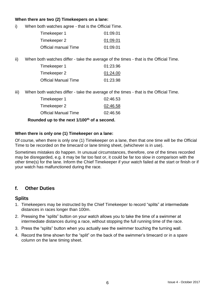#### **When there are two (2) Timekeepers on a lane:**

i) When both watches agree - that is the Official Time.

| Timekeeper 1                | 01:09.01 |
|-----------------------------|----------|
| Timekeeper 2                | 01:09.01 |
| <b>Official manual Time</b> | 01:09.01 |

ii) When both watches differ - take the average of the times - that is the Official Time.

| Timekeeper 1                | 01:23.96 |
|-----------------------------|----------|
| Timekeeper 2                | 01:24.00 |
| <b>Official Manual Time</b> | 01:23.98 |

iii) When both watches differ - take the average of the times - that is the Official Time.

| 02:46.53 |
|----------|
| 02:46.58 |
| 02:46.56 |
|          |

**Rounded up to the next 1/100th of a second.**

#### **When there is only one (1) Timekeeper on a lane:**

Of course, when there is only one (1) Timekeeper on a lane, then that one time will be the Official Time to be recorded on the timecard or lane timing sheet, (whichever is in use).

Sometimes mistakes do happen. In unusual circumstances, therefore, one of the times recorded may be disregarded, e.g. it may be far too fast or, it could be far too slow in comparison with the other time(s) for the lane. Inform the Chief Timekeeper if your watch failed at the start or finish or if your watch has malfunctioned during the race.

# **f. Other Duties**

## **Splits**

- 1. Timekeepers may be instructed by the Chief Timekeeper to record "splits" at intermediate distances in races longer than 100m.
- 2. Pressing the "splits" button on your watch allows you to take the time of a swimmer at intermediate distances during a race, without stopping the full running time of the race.
- 3. Press the "splits" button when you actually see the swimmer touching the turning wall.
- 4. Record the time shown for the "split" on the back of the swimmer's timecard or in a spare column on the lane timing sheet.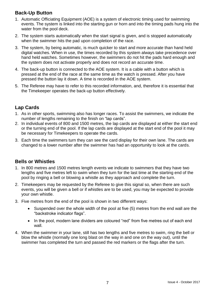# **Back-Up Button**

- 1. Automatic Officiating Equipment (AOE) is a system of electronic timing used for swimming events. The system is linked into the starting gun or horn and into the timing pads hung into the water from the pool deck.
- 2. The system starts automatically when the start signal is given, and is stopped automatically when the swimmer hits the pad upon completion of the race.
- 3. The system, by being automatic, is much quicker to start and more accurate than hand held digital watches. When in use, the times recorded by this system always take precedence over hand held watches. Sometimes however, the swimmers do not hit the pads hard enough and the system does not activate properly and does not record an accurate time.
- 4. The back-up button is connected to the AOE system. It is a cable with a button which is pressed at the end of the race at the same time as the watch is pressed. After you have pressed the button lay it down. A time is recorded in the AOE system.
- 5. The Referee may have to refer to this recorded information, and, therefore it is essential that the Timekeeper operates the back-up button effectively.

# **Lap Cards**

- 1. As in other sports, swimming also has longer races. To assist the swimmers, we indicate the number of lengths remaining to the finish on "lap cards".
- 2. In individual events of 800 and 1500 metres, the lap cards are displayed at either the start end or the turning end of the pool. If the lap cards are displayed at the start end of the pool it may be necessary for Timekeepers to operate the cards.
- 3. Each time the swimmers turn they can see the card display for their own lane. The cards are changed to a lower number after the swimmer has had an opportunity to look at the cards.

# **Bells or Whistles**

- 1. In 800 metres and 1500 metres length events we indicate to swimmers that they have two lengths and five metres left to swim when they turn for the last time at the starting end of the pool by ringing a bell or blowing a whistle as they approach and complete the turn.
- 2. Timekeepers may be requested by the Referee to give this signal so, when there are such events, you will be given a bell or if whistles are to be used, you may be expected to provide your own whistle.
- 3. Five metres from the end of the pool is shown in two different ways:
	- Suspended over the whole width of the pool at five (5) metres from the end wall are the "backstroke indicator flags".
	- In the pool, modern lane dividers are coloured "red" from five metres out of each end wall.
- 4. When the swimmer in your lane, still has two lengths and five metres to swim, ring the bell or blow the whistle (normally one long blast on the way in and one on the way out), until the swimmer has completed the turn and passed the red markers or the flags after the turn.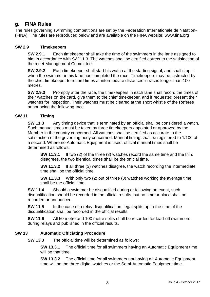# **g. FINA Rules**

The rules governing swimming competitions are set by the Federation Internationale de Natation- (FINA). The rules are reproduced below and are available on the FINA website: www.fina.org

#### **SW 2.9 Timekeepers**

**SW 2.9.1** Each timekeeper shall take the time of the swimmers in the lane assigned to him in accordance with SW 11.3. The watches shall be certified correct to the satisfaction of the meet Management Committee.

**SW 2.9.2** Each timekeeper shall start his watch at the starting signal, and shall stop it when the swimmer in his lane has completed the race. Timekeepers may be instructed by the chief timekeeper to record times at intermediate distances in races longer than 100 metres.

**SW 2.9.3** Promptly after the race, the timekeepers in each lane shall record the times of their watches on the card, give them to the chief timekeeper, and if requested present their watches for inspection. Their watches must be cleared at the short whistle of the Referee announcing the following race.

#### **SW 11 Timing**

**SW 11.3** Any timing device that is terminated by an official shall be considered a watch. Such manual times must be taken by three timekeepers appointed or approved by the Member in the country concerned. All watches shall be certified as accurate to the satisfaction of the governing body concerned. Manual timing shall be registered to 1/100 of a second. Where no Automatic Equipment is used, official manual times shall be determined as follows:

**SW 11.3.1** If two (2) of the three (3) watches record the same time and the third disagrees, the two identical times shall be the official time.

**SW 11.3.2** If all three (3) watches disagree, the watch recording the intermediate time shall be the official time.

**SW 11.3.3** With only two (2) out of three (3) watches working the average time shall be the official time.

**SW 11.4** Should a swimmer be disqualified during or following an event, such disqualification should be recorded in the official results, but no time or place shall be recorded or announced.

**SW 11.5** In the case of a relay disqualification, legal splits up to the time of the disqualification shall be recorded in the official results.

**SW 11.6** All 50 metre and 100 metre splits shall be recorded for lead-off swimmers during relays and published in the official results.

#### **SW 13 Automatic Officiating Procedure**

**SW 13.3** The official time will be determined as follows:

**SW 13.3.1** The official time for all swimmers having an Automatic Equipment time will be that time.

**SW 13.3.2** The official time for all swimmers not having an Automatic Equipment time will be the three digital watches or the Semi-Automatic Equipment time.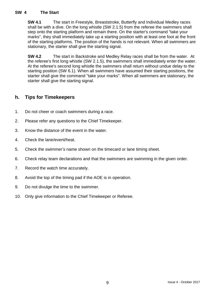#### **SW 4 The Start**

**SW 4.1** The start in Freestyle, Breaststroke, Butterfly and Individual Medley races shall be with a dive. On the long whistle (SW 2.1.5) from the referee the swimmers shall step onto the starting platform and remain there. On the starter's command "take your marks", they shall immediately take up a starting position with at least one foot at the front of the starting platforms. The position of the hands is not relevant. When all swimmers are stationary, the starter shall give the starting signal.

**SW 4.2** The start in Backstroke and Medley Relay races shall be from the water. At the referee's first long whistle (SW 2.1.5), the swimmers shall immediately enter the water. At the referee's second long whistle the swimmers shall return without undue delay to the starting position (SW 6.1). When all swimmers have assumed their starting positions, the starter shall give the command "take your marks". When all swimmers are stationary, the starter shall give the starting signal.

# **h. Tips for Timekeepers**

- 1. Do not cheer or coach swimmers during a race.
- 2. Please refer any questions to the Chief Timekeeper.
- 3. Know the distance of the event in the water.
- 4. Check the lane/event/heat.
- 5. Check the swimmer's name shown on the timecard or lane timing sheet.
- 6. Check relay team declarations and that the swimmers are swimming in the given order.
- 7. Record the watch time accurately.
- 8. Avoid the top of the timing pad if the AOE is in operation.
- 9. Do not divulge the time to the swimmer.
- 10. Only give information to the Chief Timekeeper or Referee.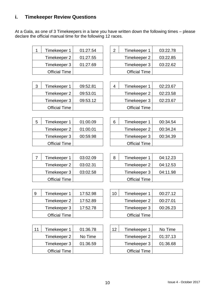# **i. Timekeeper Review Questions**

At a Gala, as one of 3 Timekeepers in a lane you have written down the following times – please declare the official manual time for the following 12 races.

| Timekeeper 1         | 01:27.54 | っ | Timekeeper 1         | 03:22.78 |
|----------------------|----------|---|----------------------|----------|
| Timekeeper 2         | 01:27.55 |   | Timekeeper 2         | 03:22.85 |
| Timekeeper 3         | 01:27.69 |   | Timekeeper 3         | 03:22.62 |
| <b>Official Time</b> |          |   | <b>Official Time</b> |          |

| Timekeeper 1         | 01:27.54 | っ | Timekeeper 1         | 03:22.78 |
|----------------------|----------|---|----------------------|----------|
| Timekeeper 2         | 01:27.55 |   | Timekeeper 2         | 03:22.85 |
| Timekeeper 3         | 01:27.69 |   | Timekeeper 3         | 03:22.62 |
| <b>Official Time</b> |          |   | <b>Official Time</b> |          |

4 | Timekeeper 1 | 02:23.67

**Official Time** 

Timekeeper 2 02:23.58

Timekeeper  $3$  02:23.67

| 3 | Timekeeper 1         | 09:52.81 |
|---|----------------------|----------|
|   | Timekeeper 2         | 09:53.01 |
|   | Timekeeper 3         | 09:53.12 |
|   | <b>Official Time</b> |          |

| 5 | Timekeeper 1         | 01:00.09 | 6 | Timekeeper 1         | 00:34.54 |
|---|----------------------|----------|---|----------------------|----------|
|   | Timekeeper 2         | 01:00.01 |   | Timekeeper 2         | 00:34.24 |
|   | Timekeeper 3         | 00:59.98 |   | Timekeeper 3         | 00:34.39 |
|   | <b>Official Time</b> |          |   | <b>Official Time</b> |          |

| Timekeeper 1         | 01:00.09 | 6 | Timekeeper 1         | 00:34.54 |
|----------------------|----------|---|----------------------|----------|
| Timekeeper 2         | 01:00.01 |   | Timekeeper 2         | 00:34.24 |
| Timekeeper 3         | 00:59.98 |   | Timekeeper 3         | 00:34.39 |
| <b>Official Time</b> |          |   | <b>Official Time</b> |          |

| Timekeeper 1         | 03:02.09 | 8 | Timekeeper 1         |
|----------------------|----------|---|----------------------|
| Timekeeper 2         | 03:02.31 |   | Timekeeper 2         |
| Timekeeper 3         | 03:02.58 |   | Timekeeper 3         |
| <b>Official Time</b> |          |   | <b>Official Time</b> |
|                      |          |   |                      |

| -9 | Timekeeper 1         | 17:52.98 | 10 | Timekeeper 1         | 00:27.12 |
|----|----------------------|----------|----|----------------------|----------|
|    | Timekeeper 2         | 17:52.89 |    | Timekeeper 2         | 00:27.01 |
|    | Timekeeper 3         | 17:52.78 |    | Timekeeper 3         | 00:26.23 |
|    | <b>Official Time</b> |          |    | <b>Official Time</b> |          |

| 11 | Timekeeper 1         | 01:36.78 | 12 | Timekeeper 1         | No Time  |
|----|----------------------|----------|----|----------------------|----------|
|    | Timekeeper 2         | No Time  |    | Timekeeper 2         | 01:37.13 |
|    | Timekeeper 3         | 01:36.59 |    | Timekeeper 3         | 01:36.68 |
|    | <b>Official Time</b> |          |    | <b>Official Time</b> |          |

| Timekeeper 2         | 03:02.31 | Timekeeper 2         | 04:12.53 |
|----------------------|----------|----------------------|----------|
| Timekeeper 3         | 03:02.58 | Timekeeper 3         | 04:11.98 |
| <b>Official Time</b> |          | <b>Official Time</b> |          |
|                      |          |                      |          |

8 | Timekeeper 1 | 04:12.23

| Timekeeper 1         | 17:52.98 | 10 | Timekeeper 1         | 00:27.12 |
|----------------------|----------|----|----------------------|----------|
| Timekeeper 2         | 17:52.89 |    | Timekeeper 2         | 00:27.01 |
| Timekeeper 3         | 17:52.78 |    | Timekeeper 3         | 00:26.23 |
| <b>Official Time</b> |          |    | <b>Official Time</b> |          |

| Timekeeper 1         | 01:36.78 | 12 | Timekeeper 1         | No Time  |
|----------------------|----------|----|----------------------|----------|
| Timekeeper 2         | No Time  |    | Timekeeper 2         | 01:37.13 |
| Timekeeper 3         | 01:36.59 |    | Timekeeper 3         | 01:36.68 |
| <b>Official Time</b> |          |    | <b>Official Time</b> |          |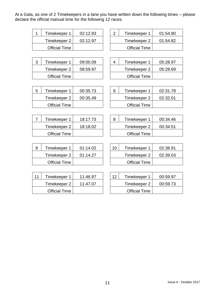At a Gala, as one of 2 Timekeepers in a lane you have written down the following times – please declare the official manual time for the following 12 races.

| Timekeeper 1         | 02:12.93 | ⌒ | Timekeeper 1         | 01:54.90 |
|----------------------|----------|---|----------------------|----------|
| Timekeeper 2         | 02:12.97 |   | Timekeeper 2         | 01:54.82 |
| <b>Official Time</b> |          |   | <b>Official Time</b> |          |

| Timekeeper 1         | 09:00.09 |  | Timekeeper 1         | 05:28.97 |
|----------------------|----------|--|----------------------|----------|
| Timekeeper 2         | 08:59.97 |  | Timekeeper 2         | 05:28.69 |
| <b>Official Time</b> |          |  | <b>Official Time</b> |          |

| Timekeeper 1         | 02:12.93 |  | Timekeeper 1         | 01:54.90 |
|----------------------|----------|--|----------------------|----------|
| Timekeeper 2         | 02:12.97 |  | Timekeeper 2         | 01:54.82 |
| <b>Official Time</b> |          |  | <b>Official Time</b> |          |

| Timekeeper 1         | 09:00.09 |  | Timekeeper 1         | 05:28.97 |
|----------------------|----------|--|----------------------|----------|
| Timekeeper 2         | 08:59.97 |  | Timekeeper 2         | 05:28.69 |
| <b>Official Time</b> |          |  | <b>Official Time</b> |          |

| 5 | Timekeeper 1         | 00:35.73 | 6 | Timekeeper 1         | 02:31.78 |
|---|----------------------|----------|---|----------------------|----------|
|   | Timekeeper 2         | 00:35.49 |   | Timekeeper 2         | 02:32.01 |
|   | <b>Official Time</b> |          |   | <b>Official Time</b> |          |
|   |                      |          |   |                      |          |

| Timekeeper 1         | 18:17.73 |  | Timekeeper 1         | 00:34.46 |
|----------------------|----------|--|----------------------|----------|
| Timekeeper 2         | 18:18.02 |  | Timekeeper 2         | 00:34.51 |
| <b>Official Time</b> |          |  | <b>Official Time</b> |          |

| Timekeeper 1         | 01:14.02 | 10 | Timekeeper 1         | 02:38.91 |
|----------------------|----------|----|----------------------|----------|
| Timekeeper 2         | 01:14.27 |    | Timekeeper 2         | 02:39.03 |
| <b>Official Time</b> |          |    | <b>Official Time</b> |          |

| 11 | Timekeeper 1         | 11:46.97 | 12 | Timekeeper 1         | 00:59.97 |
|----|----------------------|----------|----|----------------------|----------|
|    | Timekeeper 2         | 11:47.07 |    | Timekeeper 2         | 00:59.73 |
|    | <b>Official Time</b> |          |    | <b>Official Time</b> |          |

| Timekeeper 1         | 00:35.73 | 6 | Timekeeper 1         | 02:31.78 |
|----------------------|----------|---|----------------------|----------|
| Timekeeper 2         | 00:35.49 |   | Timekeeper 2         | 02:32.01 |
| <b>Official Time</b> |          |   | <b>Official Time</b> |          |

| Timekeeper 1         | 18:17.73 |  | Timekeeper 1         | 00:34.46 |
|----------------------|----------|--|----------------------|----------|
| Timekeeper 2         | 18:18.02 |  | Timekeeper 2         | 00:34.51 |
| <b>Official Time</b> |          |  | <b>Official Time</b> |          |

| Timekeeper 1         | 01:14.02 | 10 | Timekeeper 1         | 02:38.91 |
|----------------------|----------|----|----------------------|----------|
| Timekeeper 2         | 01:14.27 |    | Timekeeper 2         | 02:39.03 |
| <b>Official Time</b> |          |    | <b>Official Time</b> |          |

| Timekeeper 1         | 11:46.97 | 12 | Timekeeper 1         | 00:59.97 |
|----------------------|----------|----|----------------------|----------|
| Timekeeper 2         | 11:47.07 |    | Timekeeper 2         | 00:59.73 |
| <b>Official Time</b> |          |    | <b>Official Time</b> |          |